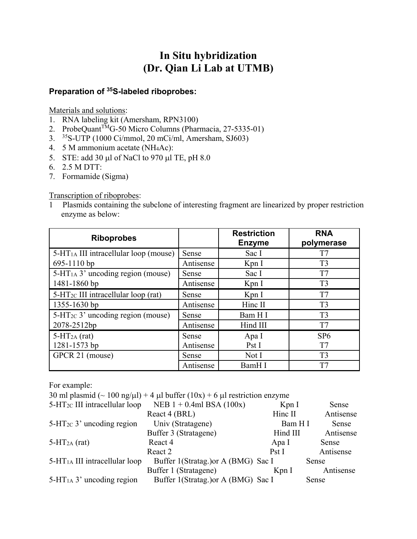## **In Situ hybridization (Dr. Qian Li Lab at UTMB)**

# **Preparation of 35S-labeled riboprobes:**

Materials and solutions:

- 1. RNA labeling kit (Amersham, RPN3100)
- 2. ProbeQuant<sup>TM</sup>G-50 Micro Columns (Pharmacia, 27-5335-01)
- 3. 35S-UTP (1000 Ci/mmol, 20 mCi/ml, Amersham, SJ603)
- 4. 5 M ammonium acetate (NH4Ac):
- 5. STE: add 30  $\mu$ l of NaCl to 970  $\mu$ l TE, pH 8.0
- 6. 2.5 M DTT:
- 7. Formamide (Sigma)

#### Transcription of riboprobes:

1 Plasmids containing the subclone of interesting fragment are linearized by proper restriction enzyme as below:

| <b>Riboprobes</b>                             |           | <b>Restriction</b><br><b>Enzyme</b> | <b>RNA</b><br>polymerase |
|-----------------------------------------------|-----------|-------------------------------------|--------------------------|
| $5-HT1A$ III intracellular loop (mouse)       | Sense     | Sac I                               | T7                       |
| 695-1110 bp                                   | Antisense | Kpn I                               | T <sub>3</sub>           |
| $5-HT1A$ 3' uncoding region (mouse)           | Sense     | Sac I                               | T7                       |
| 1481-1860 bp                                  | Antisense | Kpn I                               | T <sub>3</sub>           |
| $5-HT_{2C}$ III intracellular loop (rat)      | Sense     | Kpn I                               | T7                       |
| 1355-1630 bp                                  | Antisense | Hinc II                             | T <sub>3</sub>           |
| $5-\text{HT}_{2C}$ 3' uncoding region (mouse) | Sense     | Bam H I                             | T <sub>3</sub>           |
| 2078-2512bp                                   | Antisense | Hind III                            | T7                       |
| $5-HT2A$ (rat)                                | Sense     | Apa I                               | SP6                      |
| 1281-1573 bp                                  | Antisense | Pst I                               | T7                       |
| GPCR 21 (mouse)                               | Sense     | Not I                               | T <sub>3</sub>           |
|                                               | Antisense | BamH I                              | T7                       |

For example:

|                                       | 30 ml plasmid ( $\sim$ 100 ng/ $\mu$ l) + 4 $\mu$ l buffer (10x) + 6 $\mu$ l restriction enzyme |          |           |
|---------------------------------------|-------------------------------------------------------------------------------------------------|----------|-----------|
| $5-HT_{2C}$ III intracellular loop    | NEB $1 + 0.4$ ml BSA (100x)                                                                     | KpnI     | Sense     |
|                                       | React 4 (BRL)                                                                                   | Hinc II  | Antisense |
| $5-\text{HT}_{2C}$ 3' uncoding region | Univ (Stratagene)                                                                               | Bam H I  | Sense     |
|                                       | Buffer 3 (Stratagene)                                                                           | Hind III | Antisense |
| $5-HT2A$ (rat)                        | React 4                                                                                         | Apa I    | Sense     |
|                                       | React 2                                                                                         | PstI     | Antisense |
| $5-HT1A$ III intracellular loop       | Buffer 1(Stratag.) or A (BMG) Sac I                                                             |          | Sense     |
|                                       | Buffer 1 (Stratagene)                                                                           | KpnI     | Antisense |
| $5-HT1A$ 3' uncoding region           | Buffer 1(Stratag.) or A (BMG) Sac I                                                             |          | Sense     |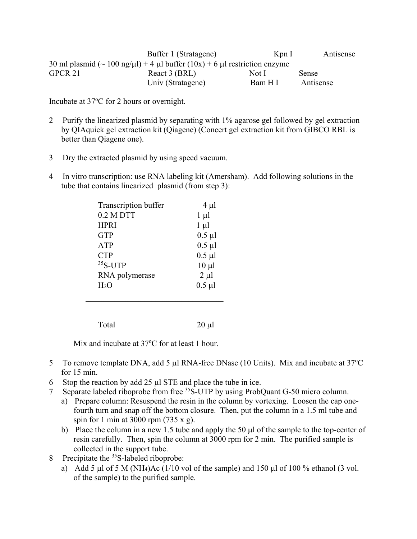|         | Buffer 1 (Stratagene)                                                                           | Kpn I   | Antisense |
|---------|-------------------------------------------------------------------------------------------------|---------|-----------|
|         | 30 ml plasmid ( $\sim 100$ ng/ $\mu$ l) + 4 $\mu$ l buffer (10x) + 6 $\mu$ l restriction enzyme |         |           |
| GPCR 21 | React 3 (BRL)                                                                                   | Not L   | Sense     |
|         | Univ (Stratagene)                                                                               | Bam H I | Antisense |

Incubate at 37°C for 2 hours or overnight.

- 2 Purify the linearized plasmid by separating with 1% agarose gel followed by gel extraction by QIAquick gel extraction kit (Qiagene) (Concert gel extraction kit from GIBCO RBL is better than Qiagene one).
- 3 Dry the extracted plasmid by using speed vacuum.
- 4 In vitro transcription: use RNA labeling kit (Amersham). Add following solutions in the tube that contains linearized plasmid (from step 3):

| Transcription buffer | $4 \mu l$   |
|----------------------|-------------|
| $0.2 M$ DTT          | $1 \mu l$   |
| <b>HPRI</b>          | $1 \mu l$   |
| <b>GTP</b>           | $0.5 \mu l$ |
| <b>ATP</b>           | $0.5 \mu l$ |
| <b>CTP</b>           | $0.5 \mu l$ |
| $35S$ -UTP           | $10 \mu l$  |
| RNA polymerase       | $2 \mu l$   |
| $H_2O$               | $0.5 \mu l$ |
|                      |             |

Total 20 µl

Mix and incubate at 37°C for at least 1 hour.

- 5 To remove template DNA, add 5 µl RNA-free DNase (10 Units). Mix and incubate at  $37^{\circ}$ C for 15 min.
- 6 Stop the reaction by add  $25 \mu$  STE and place the tube in ice.
- 7 Separate labeled riboprobe from free <sup>35</sup>S-UTP by using ProbQuant G-50 micro column.
	- a) Prepare column: Resuspend the resin in the column by vortexing. Loosen the cap onefourth turn and snap off the bottom closure. Then, put the column in a 1.5 ml tube and spin for 1 min at 3000 rpm (735 x g).
	- b) Place the column in a new 1.5 tube and apply the 50  $\mu$  of the sample to the top-center of resin carefully. Then, spin the column at 3000 rpm for 2 min. The purified sample is collected in the support tube.
- 8 Precipitate the  $35S$ -labeled riboprobe:
	- a) Add 5  $\mu$ l of 5 M (NH<sub>4</sub>)Ac (1/10 vol of the sample) and 150  $\mu$ l of 100 % ethanol (3 vol. of the sample) to the purified sample.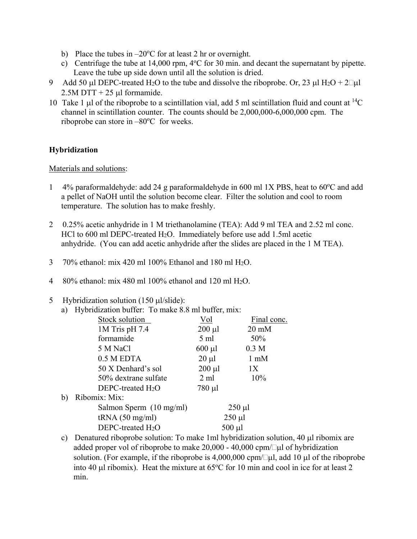- b) Place the tubes in  $-20^{\circ}$ C for at least 2 hr or overnight.
- c) Centrifuge the tube at  $14,000$  rpm,  $4^{\circ}$ C for 30 min. and decant the supernatant by pipette. Leave the tube up side down until all the solution is dried.
- 9 Add 50 µl DEPC-treated H<sub>2</sub>O to the tube and dissolve the riboprobe. Or, 23 µl H<sub>2</sub>O + 2 $\Box$ µl  $2.5M$  DTT + 25 µl formamide.
- 10 Take 1 µ of the riboprobe to a scintillation vial, add 5 ml scintillation fluid and count at  ${}^{14}C$ channel in scintillation counter. The counts should be 2,000,000-6,000,000 cpm. The riboprobe can store in  $-80^{\circ}$ C for weeks.

### **Hybridization**

#### Materials and solutions:

- 1 4% paraformaldehyde: add 24 g paraformaldehyde in 600 ml 1X PBS, heat to 60°C and add a pellet of NaOH until the solution become clear. Filter the solution and cool to room temperature. The solution has to make freshly.
- 2 0.25% acetic anhydride in 1 M triethanolamine (TEA): Add 9 ml TEA and 2.52 ml conc. HCl to 600 ml DEPC-treated H<sub>2</sub>O. Immediately before use add 1.5ml acetic anhydride. (You can add acetic anhydride after the slides are placed in the 1 M TEA).
- 3 70% ethanol: mix 420 ml 100% Ethanol and 180 ml H2O.
- 4 80% ethanol: mix 480 ml 100% ethanol and 120 ml H2O.
- 5 Hybridization solution (150  $\mu$ /slide):

|    | $11, 011$ and $101, 001$ and $100, 010$ and $100$ . |                |                  |
|----|-----------------------------------------------------|----------------|------------------|
| a) | Hybridization buffer: To make 8.8 ml buffer, mix:   |                |                  |
|    | Stock solution                                      | Vol            | Final conc.      |
|    | $1M$ Tris pH 7.4                                    | $200 \mu l$    | $20 \text{ mM}$  |
|    | formamide                                           | 5 ml           | 50%              |
|    | 5 M NaCl                                            | $600 \mu l$    | 0.3 <sub>M</sub> |
|    | 0.5 M EDTA                                          | $20 \mu l$     | $1 \text{ mM}$   |
|    | 50 X Denhard's sol                                  | $200 \mu l$    | 1X               |
|    | 50% dextrane sulfate                                | $2 \text{ ml}$ | 10%              |
|    | $DEPC$ -treated $H_2O$                              | $780 \mu l$    |                  |
| b) | Ribomix: Mix:                                       |                |                  |
|    | Salmon Sperm $(10 \text{ mg/ml})$                   | $250 \mu l$    |                  |
|    | tRNA(50 mg/ml)                                      | $250 \mu l$    |                  |
|    | $DEPC$ -treated $H_2O$                              | $500 \mu l$    |                  |
|    |                                                     |                |                  |

c) Denatured riboprobe solution: To make 1ml hybridization solution,  $40 \mu l$  ribomix are added proper vol of riboprobe to make  $20,000 - 40,000$  cpm/ $\Box \mu$  of hybridization solution. (For example, if the riboprobe is 4,000,000 cpm/ $\Box \mu l$ , add 10  $\mu l$  of the riboprobe into 40 µl ribomix). Heat the mixture at  $65^{\circ}$ C for 10 min and cool in ice for at least 2 min.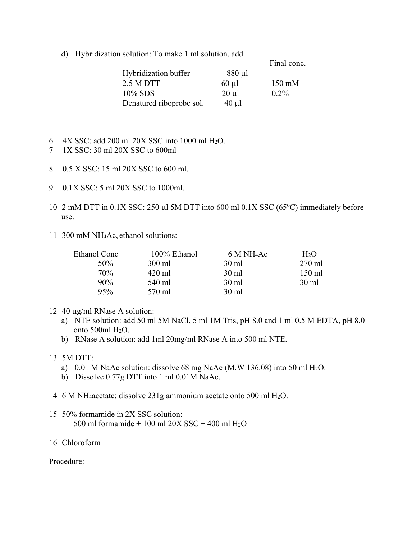d) Hybridization solution: To make 1 ml solution, add

|                          |             | Final conc.      |
|--------------------------|-------------|------------------|
| Hybridization buffer     | $880 \mu l$ |                  |
| 2.5 M DTT                | $60 \mu l$  | $150 \text{ mM}$ |
| 10% SDS                  | $20 \mu l$  | $0.2\%$          |
| Denatured riboprobe sol. | $40 \mu l$  |                  |

- 6 4X SSC: add 200 ml 20X SSC into 1000 ml H2O.
- 7 1X SSC: 30 ml 20X SSC to 600ml
- 8 0.5 X SSC: 15 ml 20X SSC to 600 ml.
- 9 0.1X SSC: 5 ml 20X SSC to 1000ml.
- 10 2 mM DTT in  $0.1X$  SSC: 250 µl 5M DTT into 600 ml  $0.1X$  SSC (65°C) immediately before use.
- 11 300 mM NH4Ac, ethanol solutions:

| Ethanol Conc | 100% Ethanol | 6 M NH <sub>4</sub> Ac | H2O              |
|--------------|--------------|------------------------|------------------|
| 50%          | 300 ml       | 30 ml                  | $270 \text{ ml}$ |
| 70%          | 420 ml       | $30 \text{ ml}$        | 150 ml           |
| $90\%$       | 540 ml       | $30 \text{ ml}$        | $30 \text{ ml}$  |
| 95%          | 570 ml       | $30 \text{ ml}$        |                  |

- 12 40  $\mu$ g/ml RNase A solution:
	- a) NTE solution: add 50 ml 5M NaCl, 5 ml 1M Tris, pH 8.0 and 1 ml 0.5 M EDTA, pH 8.0 onto 500ml H2O.
	- b) RNase A solution: add 1ml 20mg/ml RNase A into 500 ml NTE.
- 13 5M DTT:
	- a) 0.01 M NaAc solution: dissolve 68 mg NaAc (M.W 136.08) into 50 ml H2O.
	- b) Dissolve 0.77g DTT into 1 ml 0.01M NaAc.
- 14 6 M NH4acetate: dissolve 231g ammonium acetate onto 500 ml H2O.
- 15 50% formamide in 2X SSC solution: 500 ml formamide + 100 ml  $20X$  SSC + 400 ml  $H<sub>2</sub>O$
- 16 Chloroform

#### Procedure: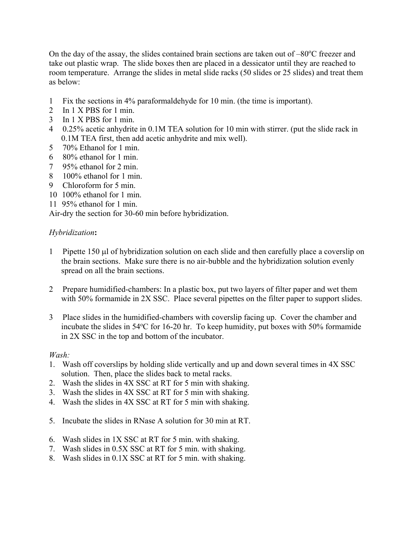On the day of the assay, the slides contained brain sections are taken out of  $-80^{\circ}$ C freezer and take out plastic wrap. The slide boxes then are placed in a dessicator until they are reached to room temperature. Arrange the slides in metal slide racks (50 slides or 25 slides) and treat them as below:

- 1 Fix the sections in 4% paraformaldehyde for 10 min. (the time is important).
- 2 In 1 X PBS for 1 min.
- 3 In 1 X PBS for 1 min.
- 4 0.25% acetic anhydrite in 0.1M TEA solution for 10 min with stirrer. (put the slide rack in 0.1M TEA first, then add acetic anhydrite and mix well).
- 5 70% Ethanol for 1 min.
- 6 80% ethanol for 1 min.
- 7 95% ethanol for 2 min.
- 8 100% ethanol for 1 min.
- 9 Chloroform for 5 min.
- 10 100% ethanol for 1 min.
- 11 95% ethanol for 1 min.

Air-dry the section for 30-60 min before hybridization.

#### *Hybridization***:**

- 1 Pipette  $150 \mu$  of hybridization solution on each slide and then carefully place a coverslip on the brain sections. Make sure there is no air-bubble and the hybridization solution evenly spread on all the brain sections.
- 2 Prepare humidified-chambers: In a plastic box, put two layers of filter paper and wet them with 50% formamide in 2X SSC. Place several pipettes on the filter paper to support slides.
- 3 Place slides in the humidified-chambers with coverslip facing up. Cover the chamber and incubate the slides in 54°C for 16-20 hr. To keep humidity, put boxes with 50% formamide in 2X SSC in the top and bottom of the incubator.

#### *Wash:*

- 1. Wash off coverslips by holding slide vertically and up and down several times in 4X SSC solution. Then, place the slides back to metal racks.
- 2. Wash the slides in 4X SSC at RT for 5 min with shaking.
- 3. Wash the slides in 4X SSC at RT for 5 min with shaking.
- 4. Wash the slides in 4X SSC at RT for 5 min with shaking.
- 5. Incubate the slides in RNase A solution for 30 min at RT.
- 6. Wash slides in 1X SSC at RT for 5 min. with shaking.
- 7. Wash slides in 0.5X SSC at RT for 5 min. with shaking.
- 8. Wash slides in 0.1X SSC at RT for 5 min. with shaking.